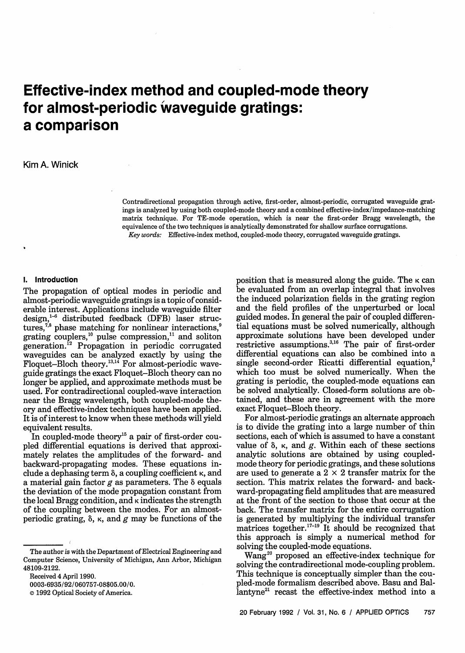# **Effective-index method and coupled-mode theory for almost-periodic waveguide gratings: a comparison**

## Kim A. Winick

Contradirectional propagation through active, first-order, almost-periodic, corrugated waveguide gratings is analyzed by using both coupled-mode theory and a combined effective-index/impedance-matching matrix technique. For TE-mode operation, which is near the first-order Bragg wavelength, the equivalence of the two techniques is analytically demonstrated for shallow surface corrugations. *Key words:* Effective-index method, coupled-mode theory, corrugated waveguide gratings.

#### **I. Introduction**

The propagation of optical modes in periodic and almost-periodic waveguide gratings is a topic of considerable interest. Applications include waveguide filter design,<sup>1-6</sup> distributed feedback (DFB) laser structures,<sup>7,8</sup> phase matching for nonlinear interactions,<sup>9</sup> grating couplers,<sup>10</sup> pulse compression,<sup>11</sup> and soliton generation.<sup>12</sup> Propagation in periodic corrugated waveguides can be analyzed exactly by using the Floquet-Bloch theory.<sup>13,14</sup> For almost-periodic waveguide gratings the exact Floquet-Bloch theory can no longer be applied, and approximate methods must be used. For contradirectional coupled-wave interaction near the Bragg wavelength, both coupled-mode theory and effective-index techniques have been applied. It is of interest to know when these methods will yield equivalent results.

In coupled-mode theory<sup>15</sup> a pair of first-order coupled differential equations is derived that approximately relates the amplitudes of the forward- and backward-propagating modes. These equations include a dephasing term 8, a coupling coefficient **K,** and a material gain factor  $g$  as parameters. The  $\delta$  equals the deviation of the mode propagation constant from the local Bragg condition, and  $\kappa$  indicates the strength of the coupling between the modes. For an almostperiodic grating,  $\delta$ ,  $\kappa$ , and g may be functions of the

position that is measured along the guide. The  $\kappa$  can be evaluated from an overlap integral that involves the induced polarization fields in the grating region and the field profiles of the unperturbed or local guided modes. In general the pair of coupled differential equations must be solved numerically, although approximate solutions have been developed under restrictive assumptions.3"6 The pair of first-order differential equations can also be combined into a single second-order Ricatti differential equation,<sup>2</sup> which too must be solved numerically. When the grating is periodic, the coupled-mode equations can be solved analytically. Closed-form solutions are obtained, and these are in agreement with the more exact Floquet-Bloch theory.

For almost-periodic gratings an alternate approach is to divide the grating into a large number of thin sections, each of which is assumed to have a constant value of  $\delta$ ,  $\kappa$ , and  $g$ . Within each of these sections analytic solutions are obtained by using coupledmode theory for periodic gratings, and these solutions are used to generate a  $2 \times 2$  transfer matrix for the section. This matrix relates the forward- and backward-propagating field amplitudes that are measured at the front of the section to those that occur at the back. The transfer matrix for the entire corrugation is generated by multiplying the individual transfer matrices together.<sup>17-19</sup> It should be recognized that this approach is simply a numerical method for solving the coupled-mode equations.

Wang<sup>20</sup> proposed an effective-index technique for solving the contradirectional mode-coupling problem. This technique is conceptually simpler than the coupled-mode formalism described above. Basu and Ballantyne<sup>21</sup> recast the effective-index method into a

The author is with the Department of Electrical Engineering and Computer Science, University of Michigan, Ann Arbor, Michigan 48109-2122.

Received 4 April 1990.

<sup>0003-6935/92/060757-08\$05.00/0.</sup>

**<sup>©</sup>** 1992 Optical Society of America.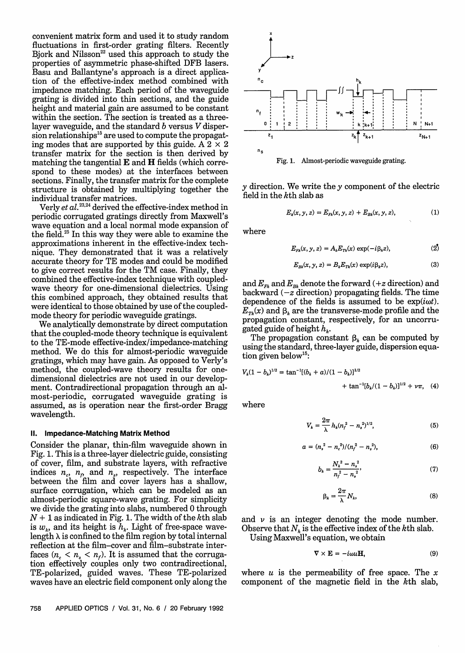convenient matrix form and used it to study random fluctuations in first-order grating filters. Recently Bjork and Nilsson $^{22}$  used this approach to study the properties of asymmetric phase-shifted DFB lasers. Basu and Ballantyne's approach is a direct application of the effective-index method combined with impedance matching. Each period of the waveguide grating is divided into thin sections, and the guide height and material gain are assumed to be constant within the section. The section is treated as a threelayer waveguide, and the standard  $b$  versus  $V$  disper $s$  sion relationships  ${}^{15}$  are used to compute the propagating modes that are supported by this guide. A  $2 \times 2$ transfer matrix for the section is then derived by matching the tangential  $E$  and  $H$  fields (which correspond to these modes) at the interfaces between sections. Finally, the transfer matrix for the complete structure is obtained by multiplying together the individual transfer matrices.

Verly *et al.*<sup>23,24</sup> derived the effective-index method in periodic corrugated gratings directly from Maxwell's wave equation and a local normal mode expansion of the field.<sup>25</sup> In this way they were able to examine the approximations inherent in the effective-index technique. They demonstrated that it was a relatively accurate theory for TE modes and could be modified to give correct results for the TM case. Finally, they combined the effective-index technique with coupledwave theory for one-dimensional dielectrics. Using this combined approach, they obtained results that were identical to those obtained by use of the coupledmode theory for periodic waveguide gratings.

We analytically demonstrate by direct computation that the coupled-mode theory technique is equivalent to the TE-mode effective-index/impedance-matching method. We do this for almost-periodic waveguide gratings, which may have gain. As opposed to Verly's method, the coupled-wave theory results for onedimensional dielectrics are not used in our development. Contradirectional propagation through an almost-periodic, corrugated waveguide grating is assumed, as is operation near the first-order Bragg wavelength.

#### **II. Impedance-Matching Matrix Method**

Consider the planar, thin-film waveguide shown in Fig. 1. This is a three-layer dielectric guide, consisting of cover, film, and substrate layers, with refractive indices  $n_e$ ,  $n_p$  and  $n_s$ , respectively. The interface between the film and cover layers has a shallow, surface corrugation, which can be modeled as an almost-periodic square-wave grating. For simplicity we divide the grating into slabs, numbered 0 through  $N + 1$  as indicated in Fig. 1. The width of the kth slab is  $w_k$ , and its height is  $h_k$ . Light of free-space wavelength  $\lambda$  is confined to the film region by total internal reflection at the film-cover and film-substrate interfaces  $(n_c < n_s < n_f)$ . It is assumed that the corrugation effectively couples only two contradirectional, TE-polarized, guided waves. These TE-polarized waves have an electric field component only along the



 $\nu$  direction. We write the  $\nu$  component of the electric field in the  $k$ th slab as

$$
E_k(x, y, z) = E_{F_k}(x, y, z) + E_{B_k}(x, y, z),
$$
 (1)

where

$$
E_{F_k}(x, y, z) = A_k E_{T_k}(x) \exp(-i\beta_k z), \qquad (2)
$$

$$
E_{Bk}(x, y, z) = B_k E_{Tk}(x) \exp(i\beta_k z), \qquad (3)
$$

and  $E_{F_k}$  and  $E_{B_k}$  denote the forward (+z direction) and backward  $(-z$  direction) propagating fields. The time dependence of the fields is assumed to be  $exp(i\omega t)$ .  $\overline{E}_{\tau_k}(x)$  and  $\beta_k$  are the transverse-mode profile and the propagation constant, respectively, for an uncorrugated guide of height *hk.*

The propagation constant  $\beta_k$  can be computed by using the standard, three-layer guide, dispersion equation given below'5:

$$
V_k(1-b_k)^{1/2} = \tan^{-1}[(b_k + a)/(1-b_k)]^{1/2}
$$
  
+ 
$$
\tan^{-1}[b_k/(1-b_k)]^{1/2} + \nu \pi, \quad (4)
$$

where

$$
V_k = \frac{2\pi}{\lambda} h_k (n_f^2 - n_s^2)^{1/2},
$$
 (5)

$$
a = (n_s^2 - n_c^2)/(n_f^2 - n_s^2), \tag{6}
$$

$$
b_k = \frac{N_k^2 - n_s^2}{n_f^2 - n_s^2},\tag{7}
$$

$$
\beta_k = \frac{2\pi}{\lambda} N_k,\tag{8}
$$

and  $\nu$  is an integer denoting the mode number. Observe that  $N_k$  is the effective index of the kth slab.

Using Maxwell's equation, we obtain

$$
\nabla \times \mathbf{E} = -i\omega u \mathbf{H},\tag{9}
$$

where  $u$  is the permeability of free space. The  $x$ component of the magnetic field in the kth slab,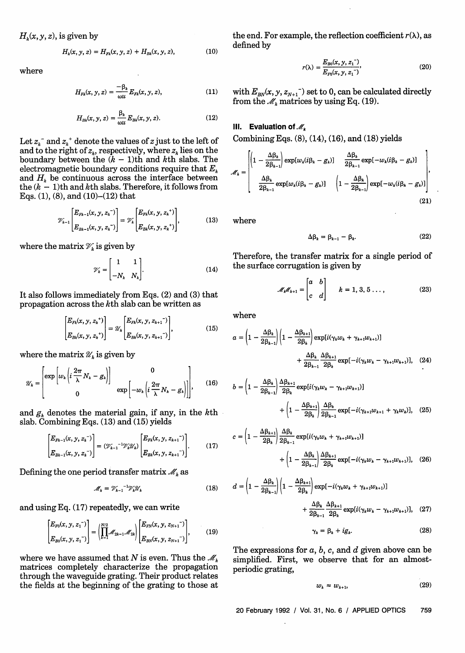$H<sub>k</sub>(x, y, z)$ , is given by

$$
H_k(x, y, z) = H_{F_k}(x, y, z) + H_{B_k}(x, y, z), \qquad (10)
$$

$$
H_{F_k}(x, y, z) = \frac{-\beta_k}{\omega u} E_{F_k}(x, y, z), \qquad (11)
$$

$$
H_{Bk}(x, y, z) = \frac{\beta_k}{\omega u} E_{Bk}(x, y, z).
$$
 (12)

Let  $z_k^-$  and  $z_k^+$  denote the values of z just to the left of and to the right of  $z_k$ , respectively, where  $z_k$  lies on the boundary between the  $(k - 1)$ th and  $k$ th slabs. The electromagnetic boundary conditions require that *E.* and  $H_k$  be continuous across the interface between the  $(k - 1)$ th and kth slabs. Therefore, it follows from Eqs. (1), (8), and (10)-(12) that the value of  $z$ <sub></sub> is to the left of<br>
the of  $z_k$ , respectively, where  $z_k$  lies on the<br>
ween the  $(k-1)$ th and  $k$ th slabs. The<br>
tic boundary conditions require that  $E_k$ <br>
ntinuous across the interface between<br>
and  $k$ th

$$
\mathcal{V}_{h-1}\left[\frac{E_{F h-1}(x, y, z_h^{-})}{E_{B h-1}(x, y, z_h^{-})}\right] = \mathcal{V}_h\left[\frac{E_{F h}(x, y, z_h^{+})}{E_{B h}(x, y, z_h^{+})}\right],
$$
(13)

where the matrix  $\mathcal{V}_k$  is given by

$$
\mathscr{V}_k = \begin{bmatrix} 1 & 1 \\ -N_k & N_k \end{bmatrix} . \tag{14}
$$

It also follows immediately from Eqs. (2) and (3) that propagation across the kth slab can be written as

$$
\begin{bmatrix} E_{Fk}(x, y, z_k^+) \\ E_{Bk}(x, y, z_k^+) \end{bmatrix} = \mathcal{U}_k \begin{bmatrix} E_{Fk}(x, y, z_{k+1}^-) \\ E_{Bk}(x, y, z_{k+1}^-) \end{bmatrix},
$$
(15)

where the matrix  $\mathcal{U}_k$  is given by

$$
\mathscr{U}_k = \begin{bmatrix} \exp\left[w_k \left(i\frac{2\pi}{\lambda} N_k - g_k\right)\right] & 0\\ 0 & \exp\left[-w_k \left(i\frac{2\pi}{\lambda} N_k - g_k\right)\right], \end{bmatrix}, \quad (16)
$$

and  $g_k$  denotes the material gain, if any, in the kth slab. Combining Eqs. (13) and (15) yields

$$
\begin{bmatrix} E_{Fk-1}(x, y, z_k^{-}) \ E_{Bk-1}(x, y, z_k^{-}) \end{bmatrix} = (\mathcal{V}_{k-1}^{-1} \mathcal{V}_k \mathcal{U}_k) \begin{bmatrix} E_{Fk}(x, y, z_{k+1}^{-}) \ E_{Bk}(x, y, z_{k+1}^{-}) \end{bmatrix} .
$$
 (17)

Defining the one period transfer matrix  $\mathcal{M}_k$  as

$$
\mathcal{M}_k = \mathcal{V}_{k-1}^{-1} \mathcal{V}_k \mathcal{U}_k \tag{18}
$$

and using Eq. (17) repeatedly, we can write

$$
\begin{bmatrix} E_{F0}(x, y, z_1^{-}) \ E_{B0}(x, y, z_1^{-}) \end{bmatrix} = \left( \prod_{k=1}^{N/2} \mathscr{M}_{2k-1} \mathscr{M}_{2k} \right) \begin{bmatrix} E_{FN}(x, y, z_{N+1}^{-}) \ E_{BN}(x, y, z_{N+1}^{-}) \end{bmatrix}, \quad (19)
$$

where we have assumed that *N* is even. Thus the  $\mathcal{M}_k$ matrices completely characterize the propagation through the waveguide grating. Their product relates the fields at the beginning of the grating to those at the end. For example, the reflection coefficient  $r(\lambda)$ , as defined by

where 
$$
r(\lambda) = \frac{E_{B0}(x, y, z_1^{-})}{E_{F0}(x, y, z_1^{-})},
$$
 (20)

with  $E_{BN}(x, y, z_{N+1})$  set to 0, can be calculated directly from the  $\mathcal{M}_k$  matrices by using Eq. (19).

#### **III.** Evaluation of  $\mathcal{M}_k$

Combining Eqs. (8), (14), (16), and (18) yields

$$
\mathcal{M}_k = \begin{bmatrix} \left(1 - \frac{\Delta \beta_k}{2\beta_{k-1}}\right) \exp[w_k(i\beta_k - g_k)] & \frac{\Delta \beta_k}{2\beta_{k-1}} \exp[-w_k(i\beta_k - g_k)] \\ \frac{\Delta \beta_k}{2\beta_{k-1}} \exp[w_k(i\beta_k - g_k)] & \left(1 - \frac{\Delta \beta_k}{2\beta_{k-1}}\right) \exp[-w_k(i\beta_k - g_k)] \end{bmatrix},
$$
\n(21)

where

$$
\Delta \beta_k = \beta_{k-1} - \beta_k. \tag{22}
$$

Therefore, the transfer matrix for a single period of the surface corrugation is given by

$$
\mathscr{M}_{k}\mathscr{M}_{k+1} = \begin{bmatrix} a & b \\ c & d \end{bmatrix} \qquad k = 1, 3, 5 \dots \tag{23}
$$

where

the surface corruption is given by  
\n
$$
\mathcal{M}_{k}\mathcal{M}_{k+1} = \begin{bmatrix} a & b \\ c & d \end{bmatrix} \qquad k = 1, 3, 5 \dots, \qquad (23)
$$
\nwhere  
\n
$$
a = \left(1 - \frac{\Delta \beta_k}{2\beta_{k-1}}\right) \left(1 - \frac{\Delta \beta_{k+1}}{2\beta_k}\right) \exp[i(\gamma_k w_k + \gamma_{k+1} w_{k+1})] + \frac{\Delta \beta_k}{2\beta_{k-1}} \frac{\Delta \beta_{k+1}}{2\beta_k} \exp[-i(\gamma_k w_k - \gamma_{k+1} w_{k+1})], \quad (24)
$$

$$
b = \left(1 - \frac{\Delta \beta_k}{2\beta_{k-1}}\right) \frac{\Delta \beta_{k+1}}{2\beta_k} \exp[i(\gamma_k w_k - \gamma_{k+1} w_{k+1})] + \left(1 - \frac{\Delta \beta_{k+1}}{2\beta_k}\right) \frac{\Delta \beta_k}{2\beta_{k-1}} \exp[-i(\gamma_{k+1} w_{k+1} + \gamma_k w_k)],
$$
 (25)

$$
c = \left(1 - \frac{\Delta \beta_{k+1}}{2\beta_k}\right) \frac{\Delta \beta_k}{2\beta_{k-1}} \exp[i(\gamma_k w_k + \gamma_{k+1} w_{k+1})] + \left(1 - \frac{\Delta \beta_k}{2\beta_{k-1}}\right) \frac{\Delta \beta_{k+1}}{2\beta_k} \exp[-i(\gamma_k w_k - \gamma_{k+1} w_{k+1})], \quad (26)
$$

$$
d = \left(1 - \frac{\Delta \beta_k}{2\beta_{k-1}}\right) \left(1 - \frac{\Delta \beta_{k+1}}{2\beta_k}\right) \exp[-i(\gamma_k w_k + \gamma_{k+1} w_{k+1})] + \frac{\Delta \beta_k}{2\beta_{k-1}} \frac{\Delta \beta_{k+1}}{2\beta_k} \exp[i(\gamma_k w_k - \gamma_{k+1} w_{k+1})], \quad (27)
$$

$$
\gamma_k = \beta_k + i g_k. \tag{28}
$$

The expressions for a, *b,* c, and d given above can be simplified. First, we observe that for an almostperiodic grating,

$$
w_k \approx w_{k+1}, \tag{29}
$$

20 February 1992 / Vol. 31, No. 6 / APPLIED OPTICS 759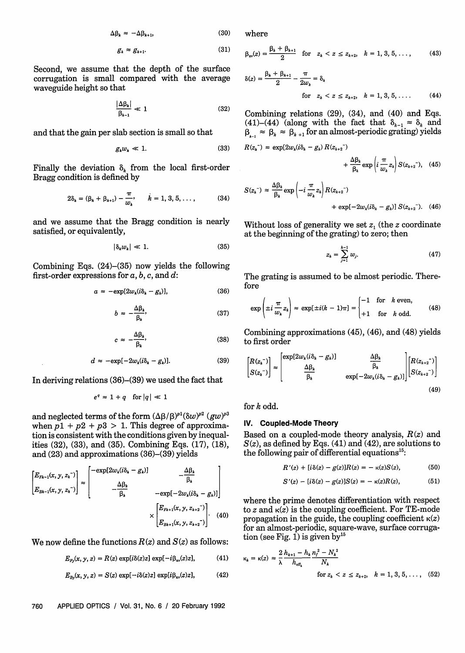$$
\Delta \beta_k \approx -\Delta \beta_{k+1},\tag{30}
$$

$$
g_k \approx g_{k+1}.\tag{31}
$$

Second, we assume that the depth of the surface corrugation is small compared with the average waveguide height so that

$$
\frac{|\Delta \beta_k|}{\beta_{k-1}} \ll 1 \tag{32}
$$

and that the gain per slab section is small so that

$$
g_k w_k \ll 1. \tag{33}
$$

Finally the deviation  $\delta_k$  from the local first-order Bragg condition is defined by

$$
2\delta_k = (\beta_k + \beta_{k+1}) - \frac{\pi}{w_k}, \qquad k = 1, 3, 5, \dots,
$$
 (34)

and we assume that the Bragg condition is nearly satisfied, or equivalently,

$$
|\delta_k w_k| \ll 1. \tag{35}
$$

Combining Eqs.  $(24)$ - $(35)$  now yields the following first-order expressions for a, *b,* c, and d:

$$
a \approx -\exp[2w_k(i\delta_k - g_k)], \qquad (36)
$$

$$
b \approx -\frac{\Delta \beta_k}{\beta_k},\tag{37}
$$

$$
c \approx -\frac{\Delta \beta_k}{\beta_k},\tag{38}
$$

$$
d \approx -\exp[-2w_k(i\delta_k - g_k)]. \qquad (39) \qquad \left[ R(z_k^-) \right] \qquad \qquad \text{exp}[2w_k(i\delta_k - g_k^2)]
$$

In deriving relations (36)-(39) we used the fact that

$$
e^q \approx 1 + q \quad \text{for } |q| \ll 1
$$

and neglected terms of the form  $(\Delta \beta / \beta)^{p} (\delta w)^{p^2}$   $(gw)^{p^3}$ when  $p1 + p2 + p3 > 1$ . This degree of approximation is consistent with the conditions given by inequalities (32), (33), and (35). Combining Eqs. (17), (18), and (23) and approximations (36)-(39) yields

$$
\begin{bmatrix} E_{F_{k-1}}(x, y, z_k^{-}) \ E_{B_{k-1}}(x, y, z_k^{-}) \end{bmatrix} \approx \begin{bmatrix} -\exp[2w_k(i\delta_k - g_k)] & -\frac{\Delta\beta_k}{\beta_k} \\ -\frac{\Delta\beta_k}{\beta_k} & -\exp[-2w_k(i\delta_k - g_k)] \end{bmatrix}
$$

$$
\times \begin{bmatrix} E_{F_{k+1}}(x, y, z_{k+2}^{-}) \\ E_{B_{k+1}}(x, y, z_{k+2}^{-}) \end{bmatrix}.
$$
(40)

We now define the functions  $R(z)$  and  $S(z)$  as follows:

$$
E_{F_y}(x, y, z) = R(z) \exp[i\delta(z)z] \exp[-i\beta_{av}(z)z], \quad (41)
$$

$$
E_{By}(x, y, z) = S(z) \exp[-i\delta(z)z] \exp[i\beta_{av}(z)z], \quad (42)
$$

where

(31) 
$$
\beta_{av}(z) = \frac{\beta_k + \beta_{k+1}}{2} \text{ for } z_k < z \leq z_{k+2}, \quad k = 1, 3, 5, \dots,
$$
 (43)

$$
\delta(z) = \frac{\beta_k + \beta_{k+1}}{2} - \frac{\pi}{2w_k} = \delta_k
$$
  
for  $z_k < z \le z_{k+2}$ ,  $k = 1, 3, 5, ...$  (44)

Combining relations (29), (34), and (40) and Eqs. (41)-(44) (along with the fact that  $\delta_{k-1} \approx \delta_k$  and  $\beta_{k} \approx \beta_{k} \approx \beta_{k+1}$  for an almost-periodic grating) yields

$$
R(z_k^-) \approx \exp[2w_k(i\delta_k - g_k) R(z_{k+2})]
$$

$$
+\frac{\Delta\beta_k}{\beta_k}\exp\left(i\,\frac{\pi}{w_k}z_k\right)S(z_{k+2}^{-}),\quad (45)
$$

$$
S(z_k^{-}) \approx \frac{\Delta \beta_k}{\beta_k} \exp\left(-i \frac{\pi}{w_k} z_k\right) R(z_{k+2}^{-}) + \exp[-2w_k(i\delta_k - g_k)] S(z_{k+2}^{-}). \quad (46)
$$

Without loss of generality we set z, (the z coordinate at the beginning of the grating) to zero; then

$$
z_k = \sum_{j=1}^{k-1} w_j.
$$
 (47)

The grating is assumed to be almost periodic. Therefore

(37) 
$$
\exp\left(\pm i \frac{\pi}{w_k} z_k\right) \approx \exp[\pm i(k-1)\pi] = \begin{cases} -1 & \text{for } k \text{ even,} \\ +1 & \text{for } k \text{ odd.} \end{cases}
$$
(48)

Combining approximations (45), (46), and (48) yields **(38)** to first order

$$
\begin{bmatrix} R(z_k^{-}) \\ S(z_k^{-}) \end{bmatrix} \approx \begin{bmatrix} \exp[2w_k(i\delta_k - g_k)] & \Delta\beta_k \\ \Delta\beta_k & \exp[-2w_k(i\delta_k - g_k)] \end{bmatrix} \begin{bmatrix} R(z_{k+2}^{-}) \\ S(z_{k+2}^{-}) \end{bmatrix} \tag{49}
$$

for k odd.

## **IV. Coupled-Mode Theory**

Based on a coupled-mode theory analysis, *R(z)* and  $S(z)$ , as defined by Eqs.  $(41)$  and  $(42)$ , are solutions to the following pair of differential equations $^{15}$ :

$$
R'(z) + [i\delta(z) - g(z)]R(z) = -\kappa(z)S(z), \tag{50}
$$

$$
S'(z) - [i\delta(z) - g(z)]S(z) = -\kappa(z)R(z), \tag{51}
$$

where the prime denotes differentiation with respect to z and  $\kappa(z)$  is the coupling coefficient. For TE-mode propagation in the guide, the coupling coefficient  $\kappa(z)$ for an almost-periodic, square-wave, surface corrugation (see Fig. 1) is given by<sup>15</sup>

$$
\kappa_{k} = \kappa(z) \approx \frac{2}{\lambda} \frac{h_{k+1} - h_{k}}{h_{\text{eff}_{k}}} \frac{n_{f}^{2} - N_{k}^{2}}{N_{k}}
$$
  
for  $z_{k} < z \le z_{k+2}$ ,  $k = 1, 3, 5, ..., (52)$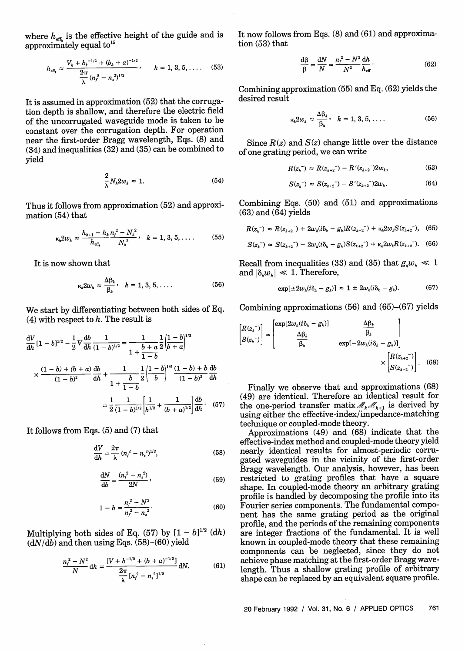where  $h_{\text{eff.}}$  is the effective height of the guide and is approximately equal to<sup>15</sup>

$$
h_{\text{eff}_k} \approx \frac{V_k + b_k^{-1/2} + (b_k + a)^{-1/2}}{2\pi} , \qquad k = 1, 3, 5, .... \quad (53)
$$

It is assumed in approximation (52) that the corrugation depth is shallow, and therefore the electric field of the uncorrugated waveguide mode is taken to be constant over the corrugation depth. For operation near the first-order Bragg wavelength, Eqs. (8) and (34) and inequalities (32) and (35) can be combined to yield

$$
\frac{2}{\lambda}N_k 2w_k \approx 1. \tag{54}
$$

Thus it follows from approximation (52) and approximation (54) that

$$
\kappa_{k} 2w_{k} \approx \frac{h_{k+1} - h_{k}}{h_{\text{eff}_{k}}} \frac{n_{f}^{2} - N_{k}^{2}}{N_{k}^{2}}, \quad k = 1, 3, 5, \dots \tag{55}
$$

It is now shown that

$$
\kappa_k 2w_k \approx \frac{\Delta \beta_k}{\beta_k}, \quad k = 1, 3, 5, \dots \tag{56}
$$

We start by differentiating between both sides of Eq. (4) with respect to  $h$ . The result is

$$
\frac{dV}{dh} [1 - b]^{1/2} - \frac{1}{2} V \frac{db}{dh} \frac{1}{(1 - b)^{1/2}} = \frac{1}{1 + \frac{b + a}{1 - b}} \frac{1}{2} \left| \frac{1 - b}{b + a} \right|^{1/2}
$$

$$
\times \frac{(1 - b) + (b + a)}{(1 - b)^2} \frac{db}{dh} + \frac{1}{1 + \frac{b}{1 - b}} \frac{1}{2} \left| \frac{1 - b}{b} \right|^{1/2} \frac{(1 - b) + b}{(1 - b)^2} \frac{db}{dh}
$$

$$
= \frac{1}{2} \frac{1}{(1 - b)^{1/2}} \left| \frac{1}{b^{1/2}} + \frac{1}{(b + a)^{1/2}} \right| \frac{db}{dh} \qquad (57)
$$

It follows from Eqs. (5) and (7) that

$$
\frac{dV}{dh} = \frac{2\pi}{\lambda} (n_f^2 - n_s^2)^{1/2},
$$
\n(58)

$$
\frac{\mathrm{d}N}{\mathrm{d}b} = \frac{(n_f^2 - n_s^2)}{2N},\tag{59}
$$

$$
1 - b = \frac{n_f^2 - N^2}{n_f^2 - n_s^2}.
$$
 (60)

Multiplying both sides of Eq. (57) by  $[1-b]^{1/2}$  (dh)  $(dN/\bar{d}b)$  and then using Eqs. (58)-(60) yield

$$
\frac{n_f^2 - N^2}{N} dh = \frac{[V + b^{-1/2} + (b + a)^{-1/2}]}{\frac{2\pi}{\lambda} [n_f^2 - n_s^2]^{1/2}} dN.
$$
 (61)

It now follows from Eqs. (8) and (61) and approximation (53) that

$$
\frac{\mathrm{d}\beta}{\beta} = \frac{\mathrm{d}N}{N} = \frac{n_f^2 - N^2}{N^2} \frac{\mathrm{d}h}{h_{\mathrm{eff}}} \,. \tag{62}
$$

Combining approximation (55) and Eq. (62) yields the desired result

$$
\kappa_k 2w_k \approx \frac{\Delta \beta_k}{\beta_k}, \quad k = 1, 3, 5, \dots \tag{56}
$$

Since  $R(z)$  and  $S(z)$  change little over the distance of one grating period, we can write

$$
R(z_k^-) \approx R(z_{k+2}^-) - R'(z_{k+2}^-) 2w_k, \tag{63}
$$

$$
S(z_k^-) \approx S(z_{k+2}^-) - S'(z_{k+2}^-) 2w_k. \tag{64}
$$

Combining Eqs. (50) and (51) and approximations (63) and (64) yields

$$
R(z_k^-) \approx R(z_{k+2}^-) + 2w_k(i\delta_k - g_k)R(z_{k+2}^-) + \kappa_k 2w_k S(z_{k+2}^-), \quad (65)
$$

$$
S(z_{k}^{-}) \approx S(z_{k+2}^{-}) - 2w_{k}(i\delta_{k} - g_{k})S(z_{k+2}^{-}) + \kappa_{k}2w_{k}R(z_{k+2}^{-}).
$$
 (66)

Recall from inequalities (33) and (35) that  $g_k w_k \ll 1$ and  $|\delta_k w_k| \ll 1$ . Therefore,

(56) 
$$
\exp[\pm 2w_k(i\delta_k - g_k)] \approx 1 \pm 2w_k(i\delta_k - g_k). \tag{67}
$$

Recall from inequalities (33) and (35) that 
$$
g_k w_k \ll 1
$$
  
and  $|\delta_k w_k| \ll 1$ . Therefore,  

$$
\exp[\pm 2w_k(i\delta_k - g_k)] \approx 1 \pm 2w_k(i\delta_k - g_k).
$$
(67)  
Combining approximations (56) and (65)–(67) yields  

$$
\begin{bmatrix} R(z_k^-) \\ S(z_k^-) \end{bmatrix} \approx \begin{bmatrix} \exp[2w_k(i\delta_k - g_k)] & \frac{\Delta \beta_k}{\beta_k} \\ \frac{\Delta \beta_k}{\beta_k} & \exp[-2w_k(i\delta_k - g_k)] \end{bmatrix}
$$

$$
\times \begin{bmatrix} R(z_{k+2}^-) \\ S(z_{k+2}^-) \end{bmatrix}.
$$
(68)

Finally we observe that and approximations (68) (49) are identical. Therefore an identical result for the one-period transfer matix  $\mathcal{M}_k \mathcal{M}_{k+1}$  is derived by using either the effective-index/impedance-matching technique or coupled-mode theory.

Approximations (49) and (68) indicate that the effective-index method and coupled-mode theory yield nearly identical results for almost-periodic corrugated waveguides in the vicinity of the first-order Bragg wavelength. Our analysis, however, has been restricted to grating profiles that have a square shape. In coupled-mode theory an arbitrary grating profile is handled by decomposing the profile into its Fourier series components. The fundamental component has the same grating period as the original profile, and the periods of the remaining components are integer fractions of the fundamental. It is well known in coupled-mode theory that these remaining components can be neglected, since they do not achieve phase matching at the first-order Bragg wavelength. Thus a shallow grating profile of arbitrary shape can be replaced by an equivalent square profile.

20 February 1992 / Vol. 31, No. 6 / APPLIED OPTICS 761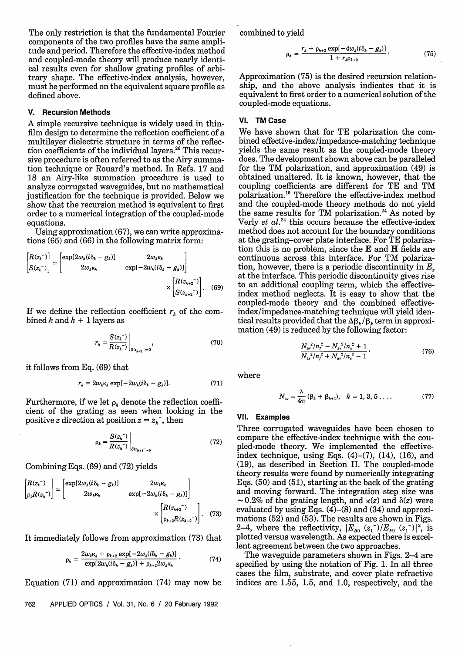The only restriction is that the fundamental Fourier components of the two profiles have the same amplitude and period. Therefore the effective-index method and coupled-mode theory will produce nearly identical results even for shallow grating profiles of arbitrary shape. The effective-index analysis, however, must be performed on the equivalent square profile as defined above.

## **V. Recursion Methods**

A simple recursive technique is widely used in thinfilm design to determine the reflection coefficient of a multilayer dielectric structure in terms of the reflection coefficients of the individual layers.<sup>26</sup> This recursive procedure is often referred to as the Airy summation technique or Rouard's method. In Refs. 17 and 18 an Airy-like summation procedure is used to analyze corrugated waveguides, but no mathematical justification for the technique is provided. Below we show that the recursion method is equivalent to first order to a numerical integration of the coupled-mode equations.

Using approximation (67), we can write approximations (65) and (66) in the following matrix form:

$$
\begin{bmatrix} R(z_k^-) \\ S(z_k^-) \end{bmatrix} \simeq \begin{bmatrix} \exp[2w_k(i\delta_k - g_k)] & 2w_k\kappa_k \\ 2w_k\kappa_k & \exp[-2w_k(i\delta_k - g_k)] \end{bmatrix} \times \begin{bmatrix} R(z_{k+2}^-) \\ S(z_{k+2}^-) \end{bmatrix}.
$$
 (69)

If we define the reflection coefficient  $r_k$  of the combined k and  $k + 1$  layers as

$$
r_{k} = \frac{S(z_{k}^{-})}{R(z_{k}^{-})}\bigg|_{S(z_{k+2}^{-})=0}, \tag{70}
$$

it follows from Eq. (69) tha

$$
r_k = 2w_k \kappa_k \exp[-2w_k(i\delta_k - g_k)]. \tag{71}
$$

Furthermore, if we let  $\rho_k$  denote the reflection coefficient of the grating as seen when looking in the positive z direction at position  $z = z_k^-$ , then

$$
p_k = \frac{S(z_k^-)}{R(z_k^-)}\Big|_{S(z_{N+1}^-)_{\geq 0}}.\tag{72}
$$

Combining Eqs. (69) and (72) yields

$$
\begin{bmatrix} R(z_k^-) \\ \rho_k R(z_k^-) \end{bmatrix} \simeq \begin{bmatrix} \exp[2w_k(i\delta_k - g_k)] & 2w_k \kappa_k \\ 2w_k \kappa_k & \exp[-2w_k(i\delta_k - g_k)] \end{bmatrix}
$$

$$
\times \begin{bmatrix} R(z_{k+2}^-) \\ \rho_{k+2} R(z_{k+2}^-) \end{bmatrix} . \quad (73)
$$

It immediately follows from approximation (73) that

$$
\rho_{k} \simeq \frac{2w_{k}\kappa_{k} + \rho_{k+2} \exp[-2w_{k}(i\delta_{k} - g_{k})]}{\exp[2w_{k}(i\delta_{k} - g_{k})] + \rho_{k+2}2w_{k}\kappa_{k}}.
$$
\n(74)

Equation (71) and approximation (74) may now be

762 APPLIED OPTICS / Vol. 31, No. 6 / 20 February 1992

combined to yield

$$
\rho_k \simeq \frac{r_k + \rho_{k+2} \exp[-4w_k(i\delta_k - g_k)]}{1 + r_k \rho_{k+2}}.
$$
 (75)

Approximation (75) is the desired recursion relationship, and the above analysis indicates that it is equivalent to first order to a numerical solution of the coupled-mode equations.

## **VI. TM Case**

 $\begin{vmatrix} \exp[-2w_k(t\delta_k - g_k)] \end{vmatrix}$  (69) toon, nowever, there is a periodic discontinuity in  $E_x$  at the interface. This periodic discontinuity gives rise<br> $\times \begin{bmatrix} R(z_{k+2}^-) \ S(z_{k+2}^-) \end{bmatrix}$ . (69) to an additional coupling term, We have shown that for TE polarization the combined effective-index/impedance-matching technique yields the same result as the coupled-mode theory does. The development shown above can be paralleled for the TM polarization, and approximation (49) is obtained unaltered. It is known, however, that the coupling coefficients are different for TE and TM polarization.'<sup>5</sup> Therefore the effective-index method and the coupled-mode theory methods do not yield the same results for TM polarization.<sup>24</sup> As noted by Verly *et*  $al.^{24}$  this occurs because the effective-index method does not account for the boundary conditions at the grating-cover plate interface. For TE polarization this is no problem, since the E and H fields are continuous across this interface. For TM polarization, however, there is a periodic discontinuity in  $E<sub>r</sub>$ at the interface. This periodic discontinuity gives rise to an additional coupling term, which the effectiveindex method neglects. It is easy to show that the coupled-mode theory and the combined effectiveindex/impedance-matching technique will yield identical results provided that the  $\Delta \beta_k / \beta_k$  term in approximation  $(49)$  is reduced by the following factor:

$$
\frac{N_{\rm av}^2/n_f^2 - N_{\rm av}^2/n_{\rm c}^2 + 1}{N_{\rm av}^2/n_f^2 + N_{\rm av}^2/n_{\rm c}^2 - 1},\tag{76}
$$

where

$$
N_{\rm av} = \frac{\lambda}{4\pi} (\beta_k + \beta_{k+1}), \quad k = 1, 3, 5 \ldots \tag{77}
$$

### VlI. Examples

Three corrugated waveguides have been chosen to compare the effective-index technique with the coupled-mode theory. We implemented the effectiveindex technique, using Eqs.  $(4)$ – $(7)$ ,  $(14)$ ,  $(16)$ , and (19), as described in Section II. The coupled-mode theory results were found by numerically integrating Eqs. (50) and (51), starting at the back of the grating and moving forward. The integration step size was  $\sim 0.2\%$  of the grating length, and  $\kappa(z)$  and  $\delta(z)$  were evaluated by using Eqs.  $(4)$ – $(8)$  and  $(34)$  and approximations  $(52)$  and  $(53)$ . The results are shown in Figs. mations (52) and (53). The results are shown in Figs. 2-4, where the reflectivity,  $|E_{B0} (z_1^-)/E_{F0} (z_1^-)|^2$ , is plotted versus wavelength. As expected there is excellent agreement between the two approaches.

The waveguide parameters shown in Figs. 2-4 are specified by using the notation of Fig. 1. In all three cases the film, substrate, and cover plate refractive indices are 1.55, 1.5, and 1.0, respectively, and the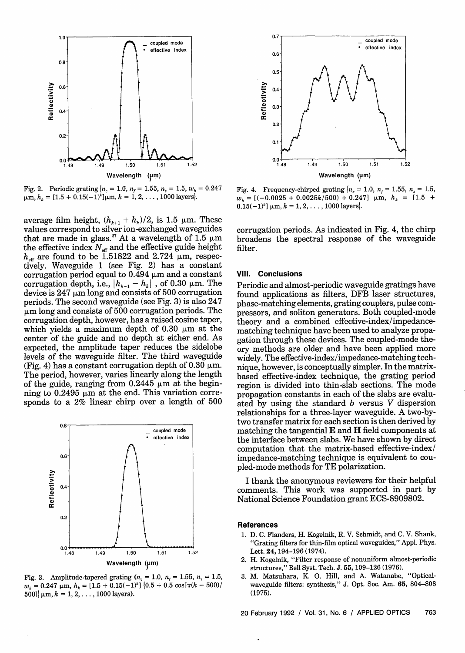

Fig. 2. Periodic grating  $n_c = 1.0$ ,  $n_f = 1.55$ ,  $n_s = 1.5$ ,  $w_k = 0.247$  $\mu$ m,  $h_k = [1.5 + 0.15(-1)^k] \mu$ m,  $k = 1, 2, ..., 1000$  layers.

average film height,  $(h_{k+1} + h_k)/2$ , is 1.5  $\mu$ m. These values correspond to silver ion-exchanged waveguides that are made in glass.<sup>27</sup> At a wavelength of 1.5  $\mu$ m the effective index  $N_{\text{eff}}$  and the effective guide height  $h_{\text{eff}}$  are found to be 1.51822 and 2.724  $\mu$ m, respectively. Waveguide 1 (see Fig. 2) has a constant corrugation period equal to 0.494  $\mu$ m and a constant corrugation depth, i.e.,  $|h_{k+1} - h_k|$ , of 0.30  $\mu$ m. The device is  $247 \mu m$  long and consists of 500 corrugation periods. The second waveguide (see Fig. 3) is also 247  $\mu$ m long and consists of 500 corrugation periods. The corrugation depth, however, has a raised cosine taper, which yields a maximum depth of  $0.30 \mu m$  at the center of the guide and no depth at either end. As expected, the amplitude taper reduces the sidelobe levels of the waveguide filter. The third waveguide (Fig. 4) has a constant corrugation depth of 0.30  $\mu$ m. The period, however, varies linearly along the length of the guide, ranging from  $0.2445 \mu m$  at the beginning to  $0.2495 \mu m$  at the end. This variation corresponds to a 2% linear chirp over a length of 500



Fig. 3. Amplitude-tapered grating  $(n_c = 1.0, n_f = 1.55, n_s = 1.5,$  $w_k = 0.247 \text{ }\mu\text{m}, h_k = [1.5 + 0.15(-1)^k] \left(0.5 + 0.5 \text{ cos}[\pi(k - 500)]\right)$  $500$ ]  $\mu$ m,  $k = 1, 2, \ldots, 1000$  layers).



Fig. 4. Frequency-chirped grating  $n_c = 1.0$ ,  $n_f = 1.55$ ,  $n_s = 1.5$ ,  $w_k = [(-0.0025 + 0.0025k/500) + 0.247]$  µm,  $h_k = [1.5 +$  $0.15(-1)^k$ ]  $\mu$ m,  $k = 1, 2, \ldots$ , 1000 layers.

corrugation periods. As indicated in Fig. 4, the chirp broadens the spectral response of the waveguide filter.

#### **Vil. Conclusions**

Periodic and almost-periodic waveguide gratings have found applications as filters, DFB laser structures, phase-matching elements, grating couplers, pulse compressors, and soliton generators. Both coupled-mode theory and a combined effective-index/impedancematching technique have been used to analyze propagation through these devices. The coupled-mode theory methods are older and have been applied more widely. The effective-index/impedance-matching technique, however, is conceptually simpler. In the matrixbased effective-index technique, the grating period region is divided into thin-slab sections. The mode propagation constants in each of the slabs are evaluated by using the standard  $b$  versus  $V$  dispersion relationships for a three-layer waveguide. A two-bytwo transfer matrix for each section is then derived by matching the tangential  $E$  and  $H$  field components at the interface between slabs. We have shown by direct computation that the matrix-based effective-index/ impedance-matching technique is equivalent to coupled-mode methods for TE polarization.

I thank the anonymous reviewers for their helpful comments. This work was supported in part by National Science Foundation grant ECS-8909802.

#### **References**

- 1. D. C. Flanders, H. Kogelnik, R. V. Schmidt, and C. V. Shank, "Grating filters for thin-film optical waveguides," Appl. Phys. Lett. **24,** 194-196 (1974).
- 2. H. Kogelnik, "Filter response of nonuniform almost-periodic structures," Bell Syst. Tech. J. 55, 109-126 (1976).
- 3. M. Matsuhara, K. 0. Hill, and A. Watanabe, "Opticalwaveguide filters: synthesis," J. Opt. Soc. Am. **65,** 804-808 (1975).